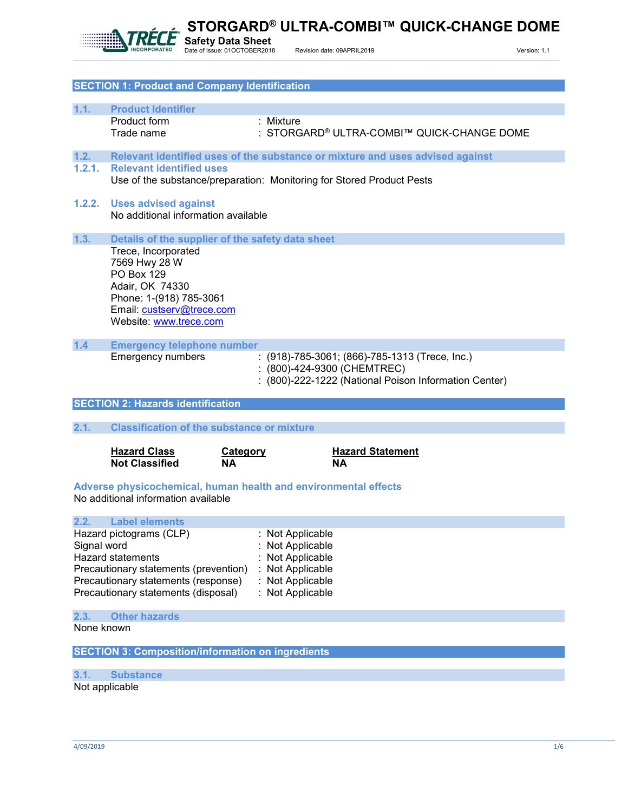

**STORGARD® ULTRA-COMBI™ QUICK-CHANGE DOME**

| <b>SECTION 1: Product and Company Identification</b> |                                                   |                                                                               |  |
|------------------------------------------------------|---------------------------------------------------|-------------------------------------------------------------------------------|--|
|                                                      |                                                   |                                                                               |  |
| 1.1.                                                 | <b>Product Identifier</b>                         |                                                                               |  |
|                                                      | Product form                                      | : Mixture                                                                     |  |
|                                                      | Trade name                                        | : STORGARD® ULTRA-COMBI™ QUICK-CHANGE DOME                                    |  |
|                                                      |                                                   |                                                                               |  |
| 1.2.                                                 |                                                   | Relevant identified uses of the substance or mixture and uses advised against |  |
| 1.2.1.                                               | <b>Relevant identified uses</b>                   |                                                                               |  |
|                                                      |                                                   | Use of the substance/preparation: Monitoring for Stored Product Pests         |  |
|                                                      |                                                   |                                                                               |  |
| 1.2.2.                                               | <b>Uses advised against</b>                       |                                                                               |  |
|                                                      | No additional information available               |                                                                               |  |
|                                                      |                                                   |                                                                               |  |
| 1.3.                                                 | Details of the supplier of the safety data sheet  |                                                                               |  |
|                                                      | Trece, Incorporated                               |                                                                               |  |
|                                                      | 7569 Hwy 28 W                                     |                                                                               |  |
|                                                      | <b>PO Box 129</b>                                 |                                                                               |  |
|                                                      | Adair, OK 74330                                   |                                                                               |  |
|                                                      | Phone: 1-(918) 785-3061                           |                                                                               |  |
|                                                      | Email: custserv@trece.com                         |                                                                               |  |
|                                                      | Website: www.trece.com                            |                                                                               |  |
|                                                      |                                                   |                                                                               |  |
| 1.4                                                  | <b>Emergency telephone number</b>                 |                                                                               |  |
|                                                      | <b>Emergency numbers</b>                          | : $(918)$ -785-3061; $(866)$ -785-1313 (Trece, Inc.)                          |  |
|                                                      |                                                   | : (800)-424-9300 (CHEMTREC)                                                   |  |
|                                                      |                                                   | : (800)-222-1222 (National Poison Information Center)                         |  |
|                                                      |                                                   |                                                                               |  |
|                                                      | <b>SECTION 2: Hazards identification</b>          |                                                                               |  |
|                                                      |                                                   |                                                                               |  |
| 2.1.                                                 | <b>Classification of the substance or mixture</b> |                                                                               |  |
|                                                      |                                                   |                                                                               |  |

| <b>Hazard Class</b>   | Category  | <b>Hazard Statement</b> |
|-----------------------|-----------|-------------------------|
| <b>Not Classified</b> | <b>NA</b> | <b>NA</b>               |

**Adverse physicochemical, human health and environmental effects** No additional information available

#### **2.2. Label elements**

| Hazard pictograms (CLP)               | : Not Applicable |
|---------------------------------------|------------------|
| Signal word                           | : Not Applicable |
| <b>Hazard statements</b>              | : Not Applicable |
| Precautionary statements (prevention) | : Not Applicable |
| Precautionary statements (response)   | : Not Applicable |
| Precautionary statements (disposal)   | : Not Applicable |

## **2.3. Other hazards**

None known

**SECTION 3: Composition/information on ingredients**

**3.1. Substance** Not applicable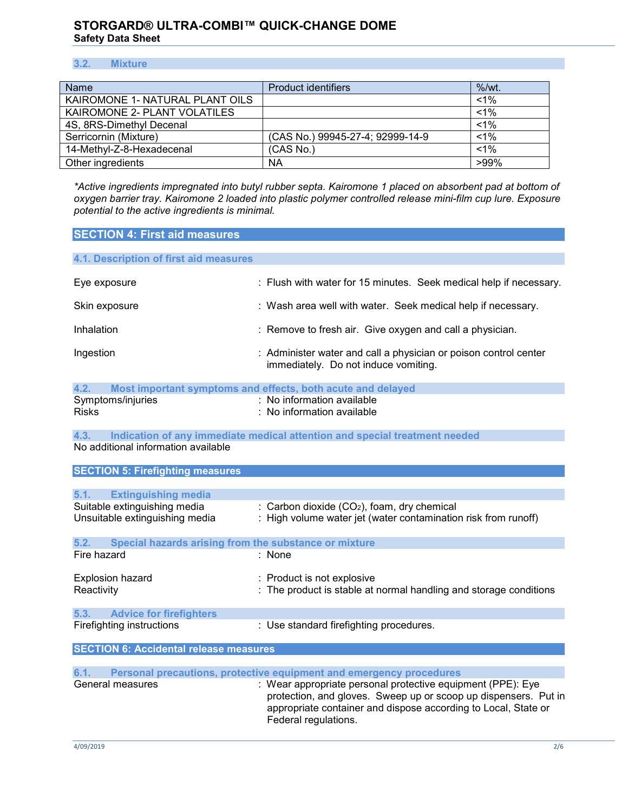## **3.2. Mixture**

| Name                            | <b>Product identifiers</b>       | $%$ /wt. |
|---------------------------------|----------------------------------|----------|
| KAIROMONE 1- NATURAL PLANT OILS |                                  | $< 1\%$  |
| KAIROMONE 2- PLANT VOLATILES    |                                  | $1\%$    |
| 4S, 8RS-Dimethyl Decenal        |                                  | $1\%$    |
| Serricornin (Mixture)           | (CAS No.) 99945-27-4; 92999-14-9 | $< 1\%$  |
| 14-Methyl-Z-8-Hexadecenal       | (CAS No.)                        | $< 1\%$  |
| Other ingredients               | ΝA                               | $>99\%$  |

*\*Active ingredients impregnated into butyl rubber septa. Kairomone 1 placed on absorbent pad at bottom of oxygen barrier tray. Kairomone 2 loaded into plastic polymer controlled release mini-film cup lure. Exposure potential to the active ingredients is minimal.* 

| <b>SECTION 4: First aid measures</b> |
|--------------------------------------|
|--------------------------------------|

| 4.1. Description of first aid measures |                                                                                                          |
|----------------------------------------|----------------------------------------------------------------------------------------------------------|
| Eye exposure                           | : Flush with water for 15 minutes. Seek medical help if necessary.                                       |
| Skin exposure                          | : Wash area well with water. Seek medical help if necessary.                                             |
| Inhalation                             | : Remove to fresh air. Give oxygen and call a physician.                                                 |
| Ingestion                              | : Administer water and call a physician or poison control center<br>immediately. Do not induce vomiting. |
| 4.2.                                   | Most important symptoms and effects, both acute and delayed                                              |
| Symptoms/injuries                      | : No information available                                                                               |

| Symptoms/injuries | . No information available            |
|-------------------|---------------------------------------|
| <b>Risks</b>      | $\therefore$ No information available |

**4.3. Indication of any immediate medical attention and special treatment needed** No additional information available

**SECTION 5: Firefighting measures**

| 5.1.<br><b>Extinguishing media</b>                            |                                                                                                                                                                                                                          |  |  |
|---------------------------------------------------------------|--------------------------------------------------------------------------------------------------------------------------------------------------------------------------------------------------------------------------|--|--|
| Suitable extinguishing media                                  | : Carbon dioxide $(CO2)$ , foam, dry chemical                                                                                                                                                                            |  |  |
| Unsuitable extinguishing media                                | : High volume water jet (water contamination risk from runoff)                                                                                                                                                           |  |  |
| 5.2.<br>Special hazards arising from the substance or mixture |                                                                                                                                                                                                                          |  |  |
| Fire hazard                                                   | : None                                                                                                                                                                                                                   |  |  |
| Explosion hazard                                              | : Product is not explosive                                                                                                                                                                                               |  |  |
| Reactivity                                                    | : The product is stable at normal handling and storage conditions                                                                                                                                                        |  |  |
| 5.3. Advice for firefighters                                  |                                                                                                                                                                                                                          |  |  |
| Firefighting instructions                                     | : Use standard firefighting procedures.                                                                                                                                                                                  |  |  |
| <b>SECTION 6: Accidental release measures</b>                 |                                                                                                                                                                                                                          |  |  |
|                                                               |                                                                                                                                                                                                                          |  |  |
| 6.1.                                                          | Personal precautions, protective equipment and emergency procedures                                                                                                                                                      |  |  |
| General measures                                              | : Wear appropriate personal protective equipment (PPE): Eye<br>protection, and gloves. Sweep up or scoop up dispensers. Put in<br>appropriate container and dispose according to Local, State or<br>Federal regulations. |  |  |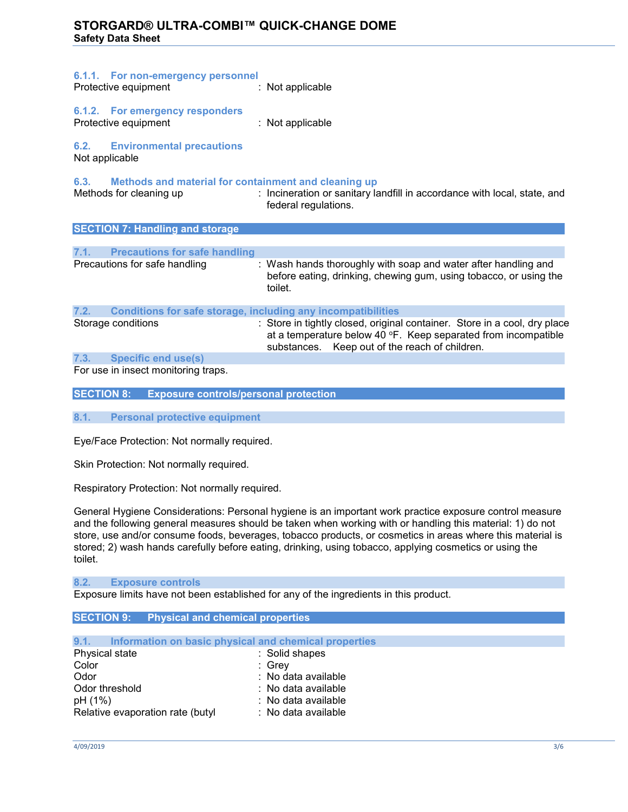| 6.1.1. For non-emergency personnel<br>Protective equipment                              | : Not applicable                                                                                                                                                                              |
|-----------------------------------------------------------------------------------------|-----------------------------------------------------------------------------------------------------------------------------------------------------------------------------------------------|
| 6.1.2. For emergency responders<br>Protective equipment                                 | : Not applicable                                                                                                                                                                              |
| <b>6.2.</b> Environmental precautions<br>Not applicable                                 |                                                                                                                                                                                               |
| 6.3.<br>Methods and material for containment and cleaning up<br>Methods for cleaning up | : Incineration or sanitary landfill in accordance with local, state, and<br>federal regulations.                                                                                              |
| <b>SECTION 7: Handling and storage</b>                                                  |                                                                                                                                                                                               |
| 7.1.<br><b>Precautions for safe handling</b>                                            |                                                                                                                                                                                               |
| Precautions for safe handling                                                           | : Wash hands thoroughly with soap and water after handling and<br>before eating, drinking, chewing gum, using tobacco, or using the<br>toilet.                                                |
| 7.2.<br><b>Conditions for safe storage, including any incompatibilities</b>             |                                                                                                                                                                                               |
| Storage conditions                                                                      | : Store in tightly closed, original container. Store in a cool, dry place<br>at a temperature below 40 °F. Keep separated from incompatible<br>substances. Keep out of the reach of children. |
| 7.3.<br><b>Specific end use(s)</b>                                                      |                                                                                                                                                                                               |
|                                                                                         |                                                                                                                                                                                               |

For use in insect monitoring traps.

| <b>SECTION 8:</b> | <b>Exposure controls/personal protection</b> |  |  |
|-------------------|----------------------------------------------|--|--|
|-------------------|----------------------------------------------|--|--|

**8.1. Personal protective equipment**

Eye/Face Protection: Not normally required.

Skin Protection: Not normally required.

Respiratory Protection: Not normally required.

General Hygiene Considerations: Personal hygiene is an important work practice exposure control measure and the following general measures should be taken when working with or handling this material: 1) do not store, use and/or consume foods, beverages, tobacco products, or cosmetics in areas where this material is stored; 2) wash hands carefully before eating, drinking, using tobacco, applying cosmetics or using the toilet.

#### **8.2. Exposure controls**

Exposure limits have not been established for any of the ingredients in this product.

### **SECTION 9: Physical and chemical properties**

| 9.1. Information on basic physical and chemical properties |                     |
|------------------------------------------------------------|---------------------|
| Physical state                                             | : Solid shapes      |
| Color                                                      | : Grey              |
| Odor                                                       | : No data available |
| Odor threshold                                             | : No data available |
| pH (1%)                                                    | : No data available |
| Relative evaporation rate (butyl                           | : No data available |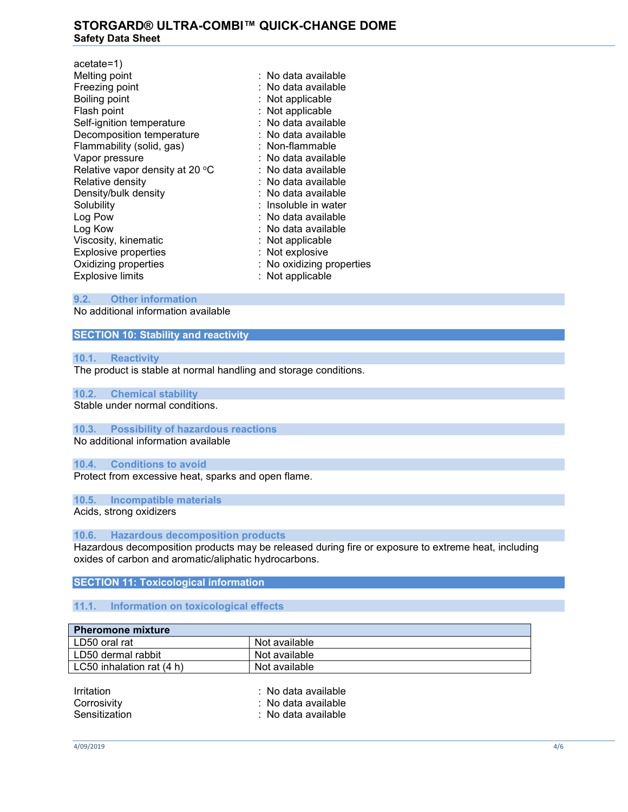| $acetate=1)$                    |                           |
|---------------------------------|---------------------------|
| Melting point                   | $:$ No data available.    |
| Freezing point                  | : No data available       |
| Boiling point                   | : Not applicable          |
| Flash point                     | : Not applicable          |
| Self-ignition temperature       | : No data available       |
| Decomposition temperature       | : No data available       |
| Flammability (solid, gas)       | : Non-flammable           |
| Vapor pressure                  | : No data available       |
| Relative vapor density at 20 °C | : No data available       |
| Relative density                | : No data available       |
| Density/bulk density            | : No data available       |
| Solubility                      | : Insoluble in water      |
| Log Pow                         | : No data available       |
| Log Kow                         | : No data available       |
| Viscosity, kinematic            | Not applicable            |
| <b>Explosive properties</b>     | : Not explosive           |
| Oxidizing properties            | : No oxidizing properties |
| <b>Explosive limits</b>         | : Not applicable          |
|                                 |                           |

### **9.2. Other information**

No additional information available

## **SECTION 10: Stability and reactivity**

### **10.1. Reactivity**

The product is stable at normal handling and storage conditions.

## **10.2. Chemical stability**

Stable under normal conditions.

### **10.3. Possibility of hazardous reactions**

No additional information available

### **10.4. Conditions to avoid**

Protect from excessive heat, sparks and open flame.

**10.5. Incompatible materials**

Acids, strong oxidizers

### **10.6. Hazardous decomposition products**

Hazardous decomposition products may be released during fire or exposure to extreme heat, including oxides of carbon and aromatic/aliphatic hydrocarbons.

#### **SECTION 11: Toxicological information**

#### **11.1. Information on toxicological effects**

| <b>Pheromone mixture</b>         |                                                                  |
|----------------------------------|------------------------------------------------------------------|
| LD50 oral rat                    | Not available                                                    |
| LD50 dermal rabbit               | Not available                                                    |
| LC50 inhalation rat (4 h)        | Not available                                                    |
| <b>Irritation</b><br>Corrosivity | $\therefore$ No data available<br>$\therefore$ No data available |

Sensitization : No data available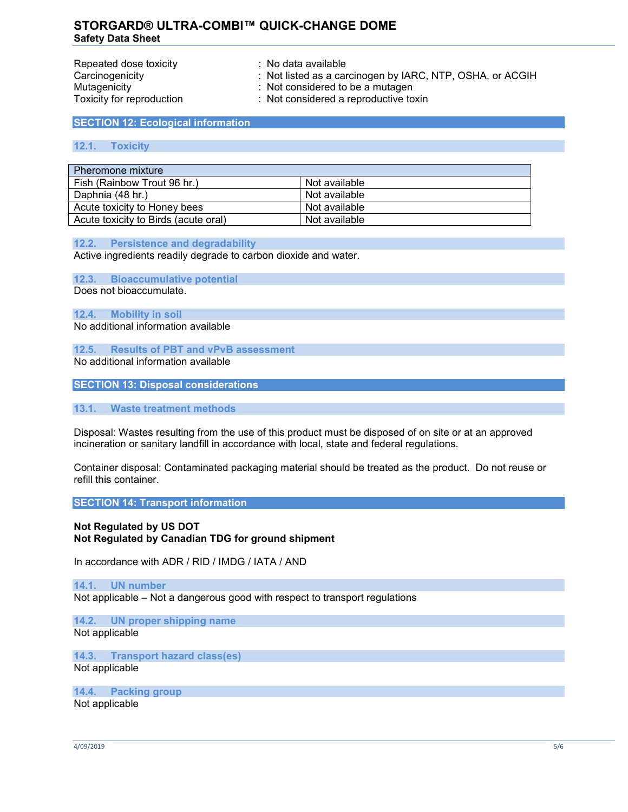| Repeated dose toxicity    | $\therefore$ No data available                            |
|---------------------------|-----------------------------------------------------------|
| Carcinogenicity           | : Not listed as a carcinogen by IARC, NTP, OSHA, or ACGIH |
| Mutagenicity              | : Not considered to be a mutagen                          |
| Toxicity for reproduction | : Not considered a reproductive toxin                     |

### **SECTION 12: Ecological information**

### **12.1. Toxicity**

| Pheromone mixture                    |               |  |
|--------------------------------------|---------------|--|
| Fish (Rainbow Trout 96 hr.)          | Not available |  |
| Daphnia (48 hr.)                     | Not available |  |
| Acute toxicity to Honey bees         | Not available |  |
| Acute toxicity to Birds (acute oral) | Not available |  |

#### **12.2. Persistence and degradability**

Active ingredients readily degrade to carbon dioxide and water.

**12.3. Bioaccumulative potential**

Does not bioaccumulate.

#### **12.4. Mobility in soil**

No additional information available

**12.5. Results of PBT and vPvB assessment**

No additional information available

**SECTION 13: Disposal considerations**

### **13.1. Waste treatment methods**

Disposal: Wastes resulting from the use of this product must be disposed of on site or at an approved incineration or sanitary landfill in accordance with local, state and federal regulations.

Container disposal: Contaminated packaging material should be treated as the product. Do not reuse or refill this container.

### **SECTION 14: Transport information**

## **Not Regulated by US DOT Not Regulated by Canadian TDG for ground shipment**

In accordance with ADR / RID / IMDG / IATA / AND

#### **14.1. UN number**

Not applicable – Not a dangerous good with respect to transport regulations

### **14.2. UN proper shipping name** Not applicable

**14.3. Transport hazard class(es)** Not applicable

### **14.4. Packing group**

Not applicable